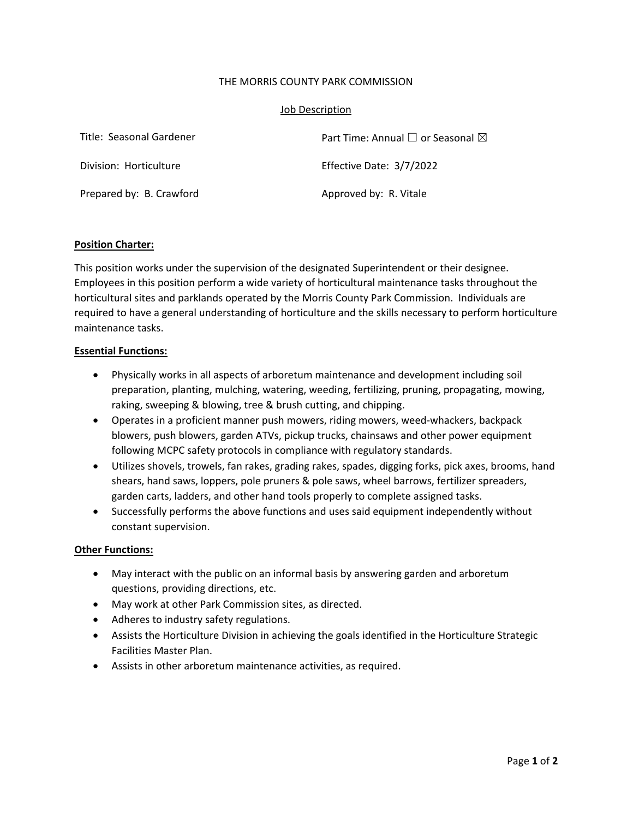### THE MORRIS COUNTY PARK COMMISSION

### Job Description

| Title: Seasonal Gardener | Part Time: Annual $\Box$ or Seasonal $\boxtimes$ |
|--------------------------|--------------------------------------------------|
| Division: Horticulture   | Effective Date: 3/7/2022                         |
| Prepared by: B. Crawford | Approved by: R. Vitale                           |

# **Position Charter:**

This position works under the supervision of the designated Superintendent or their designee. Employees in this position perform a wide variety of horticultural maintenance tasks throughout the horticultural sites and parklands operated by the Morris County Park Commission. Individuals are required to have a general understanding of horticulture and the skills necessary to perform horticulture maintenance tasks.

# **Essential Functions:**

- Physically works in all aspects of arboretum maintenance and development including soil preparation, planting, mulching, watering, weeding, fertilizing, pruning, propagating, mowing, raking, sweeping & blowing, tree & brush cutting, and chipping.
- Operates in a proficient manner push mowers, riding mowers, weed-whackers, backpack blowers, push blowers, garden ATVs, pickup trucks, chainsaws and other power equipment following MCPC safety protocols in compliance with regulatory standards.
- Utilizes shovels, trowels, fan rakes, grading rakes, spades, digging forks, pick axes, brooms, hand shears, hand saws, loppers, pole pruners & pole saws, wheel barrows, fertilizer spreaders, garden carts, ladders, and other hand tools properly to complete assigned tasks.
- Successfully performs the above functions and uses said equipment independently without constant supervision.

#### **Other Functions:**

- May interact with the public on an informal basis by answering garden and arboretum questions, providing directions, etc.
- May work at other Park Commission sites, as directed.
- Adheres to industry safety regulations.
- Assists the Horticulture Division in achieving the goals identified in the Horticulture Strategic Facilities Master Plan.
- Assists in other arboretum maintenance activities, as required.